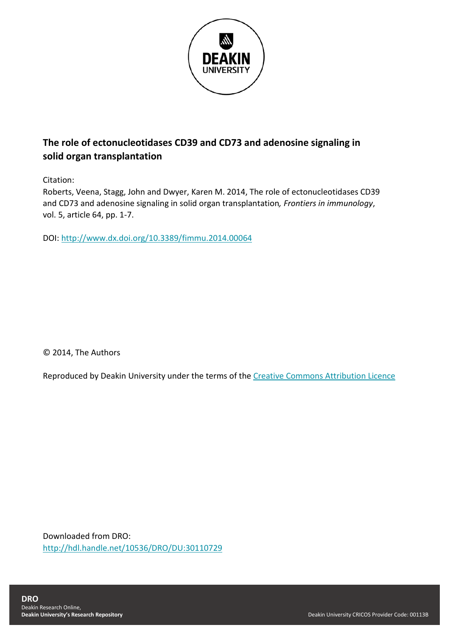

# **The role of ectonucleotidases CD39 and CD73 and adenosine signaling in solid organ transplantation**

Citation:

Roberts, Veena, Stagg, John and Dwyer, Karen M. 2014, The role of ectonucleotidases CD39 and CD73 and adenosine signaling in solid organ transplantation*, Frontiers in immunology*, vol. 5, article 64, pp. 1-7.

DOI: <http://www.dx.doi.org/10.3389/fimmu.2014.00064>

© 2014, The Authors

Reproduced by Deakin University under the terms of the [Creative Commons Attribution Licence](https://creativecommons.org/licenses/by/3.0/)

Downloaded from DRO: <http://hdl.handle.net/10536/DRO/DU:30110729>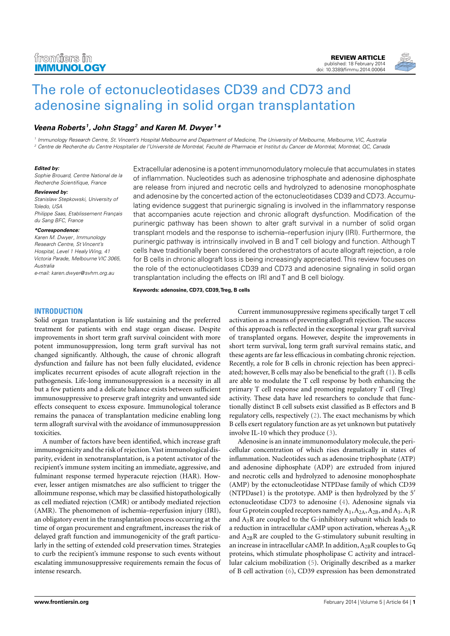

# [The role of ectonucleotidases CD39 and CD73 and](http://www.frontiersin.org/Journal/10.3389/fimmu.2014.00064/abstract) [adenosine signaling in solid organ transplantation](http://www.frontiersin.org/Journal/10.3389/fimmu.2014.00064/abstract)

# **[Veena Roberts](http://www.frontiersin.org/people/u/129215) <sup>1</sup> , [John Stagg](http://www.frontiersin.org/people/u/119949)<sup>2</sup> and [Karen M. Dwyer](http://www.frontiersin.org/people/u/137240) <sup>1</sup>\***

1 Immunology Research Centre, St. Vincent's Hospital Melbourne and Department of Medicine, The University of Melbourne, Melbourne, VIC, Australia  $^2$  Centre de Recherche du Centre Hospitalier de l'Université de Montréal, Faculté de Pharmacie et Institut du Cancer de Montréal, Montréal, QC, Canada

#### **Edited by:**

Sophie Brouard, Centre National de la Recherche Scientifique, France

#### **Reviewed by:**

Stanislaw Stepkowski, University of Toledo, USA Philippe Saas, Etablissement Français du Sang BFC, France

#### **\*Correspondence:**

Karen M. Dwyer, Immunology Research Centre, St Vincent's Hospital, Level 1 Healy Wing, 41 Victoria Parade, Melbourne VIC 3065, Australia e-mail: [karen.dwyer@svhm.org.au](mailto:karen.dwyer@svhm.org.au)

Extracellular adenosine is a potent immunomodulatory molecule that accumulates in states of inflammation. Nucleotides such as adenosine triphosphate and adenosine diphosphate are release from injured and necrotic cells and hydrolyzed to adenosine monophosphate and adenosine by the concerted action of the ectonucleotidases CD39 and CD73. Accumulating evidence suggest that purinergic signaling is involved in the inflammatory response that accompanies acute rejection and chronic allograft dysfunction. Modification of the purinergic pathway has been shown to alter graft survival in a number of solid organ transplant models and the response to ischemia–reperfusion injury (IRI). Furthermore, the purinergic pathway is intrinsically involved in B and T cell biology and function. Although T cells have traditionally been considered the orchestrators of acute allograft rejection, a role for B cells in chronic allograft loss is being increasingly appreciated.This review focuses on the role of the ectonucleotidases CD39 and CD73 and adenosine signaling in solid organ transplantation including the effects on IRI and T and B cell biology.

**Keywords: adenosine, CD73, CD39,Treg, B cells**

# **INTRODUCTION**

Solid organ transplantation is life sustaining and the preferred treatment for patients with end stage organ disease. Despite improvements in short term graft survival coincident with more potent immunosuppression, long term graft survival has not changed significantly. Although, the cause of chronic allograft dysfunction and failure has not been fully elucidated, evidence implicates recurrent episodes of acute allograft rejection in the pathogenesis. Life-long immunosuppression is a necessity in all but a few patients and a delicate balance exists between sufficient immunosuppressive to preserve graft integrity and unwanted side effects consequent to excess exposure. Immunological tolerance remains the panacea of transplantation medicine enabling long term allograft survival with the avoidance of immunosuppression toxicities.

A number of factors have been identified, which increase graft immunogenicity and the risk of rejection. Vast immunological disparity, evident in xenotransplantation, is a potent activator of the recipient's immune system inciting an immediate, aggressive, and fulminant response termed hyperacute rejection (HAR). However, lesser antigen mismatches are also sufficient to trigger the alloimmune response, which may be classified histopathologically as cell mediated rejection (CMR) or antibody mediated rejection (AMR). The phenomenon of ischemia–reperfusion injury (IRI), an obligatory event in the transplantation process occurring at the time of organ procurement and engraftment, increases the risk of delayed graft function and immunogenicity of the graft particularly in the setting of extended cold preservation times. Strategies to curb the recipient's immune response to such events without escalating immunosuppressive requirements remain the focus of intense research.

Current immunosuppressive regimens specifically target T cell activation as a means of preventing allograft rejection. The success of this approach is reflected in the exceptional 1 year graft survival of transplanted organs. However, despite the improvements in short term survival, long term graft survival remains static, and these agents are far less efficacious in combating chronic rejection. Recently, a role for B cells in chronic rejection has been appreciated; however, B cells may also be beneficial to the graft [\(1\)](#page-5-0). B cells are able to modulate the T cell response by both enhancing the primary T cell response and promoting regulatory T cell (Treg) activity. These data have led researchers to conclude that functionally distinct B cell subsets exist classified as B effectors and B regulatory cells, respectively [\(2\)](#page-5-1). The exact mechanisms by which B cells exert regulatory function are as yet unknown but putatively involve IL-10 which they produce [\(3\)](#page-6-0).

Adenosine is an innate immunomodulatory molecule, the pericellular concentration of which rises dramatically in states of inflammation. Nucleotides such as adenosine triphosphate (ATP) and adenosine diphosphate (ADP) are extruded from injured and necrotic cells and hydrolyzed to adenosine monophosphate (AMP) by the ectonucleotidase NTPDase family of which CD39 (NTPDase1) is the prototype. AMP is then hydrolyzed by the  $5<sup>′</sup>$ ectonucleotidase CD73 to adenosine [\(4\)](#page-6-1). Adenosine signals via four G protein coupled receptors namely  $A_1$ ,  $A_{2A}$ ,  $A_{2B}$ , and  $A_3$ .  $A_1R$ and A3R are coupled to the G-inhibitory subunit which leads to a reduction in intracellular cAMP upon activation, whereas A2AR and  $A_{2B}R$  are coupled to the G-stimulatory subunit resulting in an increase in intracellular cAMP. In addition,  $A_{2B}R$  couples to Gq proteins, which stimulate phospholipase C activity and intracellular calcium mobilization [\(5\)](#page-6-2). Originally described as a marker of B cell activation [\(6\)](#page-6-3), CD39 expression has been demonstrated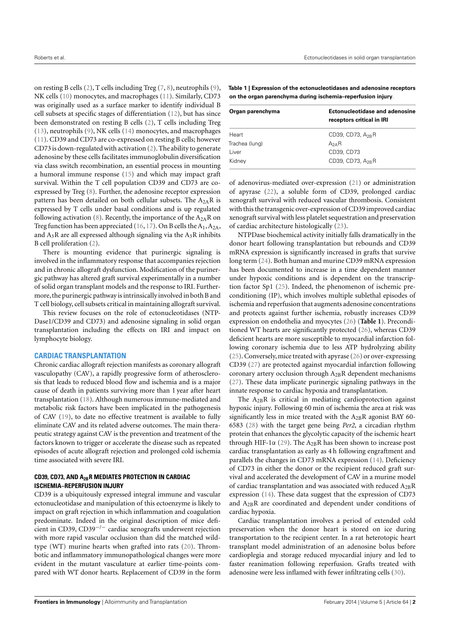on resting B cells [\(2\)](#page-5-1), T cells including Treg [\(7,](#page-6-4) [8\)](#page-6-5), neutrophils [\(9\)](#page-6-6), NK cells [\(10\)](#page-6-7) monocytes, and macrophages [\(11\)](#page-6-8). Similarly, CD73 was originally used as a surface marker to identify individual B cell subsets at specific stages of differentiation [\(12\)](#page-6-9), but has since been demonstrated on resting B cells [\(2\)](#page-5-1), T cells including Treg [\(13\)](#page-6-10), neutrophils [\(9\)](#page-6-6), NK cells [\(14\)](#page-6-11) monocytes, and macrophages [\(11\)](#page-6-8). CD39 and CD73 are co-expressed on resting B cells; however CD73 is down-regulated with activation [\(2\)](#page-5-1). The ability to generate adenosine by these cells facilitates immunoglobulin diversification via class switch recombination, an essential process in mounting a humoral immune response [\(15\)](#page-6-12) and which may impact graft survival. Within the T cell population CD39 and CD73 are coexpressed by Treg [\(8\)](#page-6-5). Further, the adenosine receptor expression pattern has been detailed on both cellular subsets. The  $A_{2A}R$  is expressed by T cells under basal conditions and is up regulated following activation [\(8\)](#page-6-5). Recently, the importance of the  $A_{2A}R$  on Treg function has been appreciated [\(16,](#page-6-13) [17\)](#page-6-14). On B cells the  $A_1, A_{2A}$ , and  $A_3R$  are all expressed although signaling via the  $A_3R$  inhibits B cell proliferation [\(2\)](#page-5-1).

There is mounting evidence that purinergic signaling is involved in the inflammatory response that accompanies rejection and in chronic allograft dysfunction. Modification of the purinergic pathway has altered graft survival experimentally in a number of solid organ transplant models and the response to IRI. Furthermore, the purinergic pathway is intrinsically involved in both B and T cell biology, cell subsets critical in maintaining allograft survival.

This review focuses on the role of ectonucleotidases (NTP-Dase1/CD39 and CD73) and adenosine signaling in solid organ transplantation including the effects on IRI and impact on lymphocyte biology.

#### **CARDIAC TRANSPLANTATION**

Chronic cardiac allograft rejection manifests as coronary allograft vasculopathy (CAV), a rapidly progressive form of atherosclerosis that leads to reduced blood flow and ischemia and is a major cause of death in patients surviving more than 1 year after heart transplantation [\(18\)](#page-6-15). Although numerous immune-mediated and metabolic risk factors have been implicated in the pathogenesis of CAV [\(19\)](#page-6-16), to date no effective treatment is available to fully eliminate CAV and its related adverse outcomes. The main therapeutic strategy against CAV is the prevention and treatment of the factors known to trigger or accelerate the disease such as repeated episodes of acute allograft rejection and prolonged cold ischemia time associated with severe IRI.

#### **CD39, CD73, AND A2BR MEDIATES PROTECTION IN CARDIAC ISCHEMIA–REPERFUSION INJURY**

CD39 is a ubiquitously expressed integral immune and vascular ectonucleotidase and manipulation of this ectoenzyme is likely to impact on graft rejection in which inflammation and coagulation predominate. Indeed in the original description of mice deficient in CD39, CD39<sup>-/-</sup> cardiac xenografts underwent rejection with more rapid vascular occlusion than did the matched wildtype (WT) murine hearts when grafted into rats [\(20\)](#page-6-17). Thrombotic and inflammatory immunopathological changes were more evident in the mutant vasculature at earlier time-points compared with WT donor hearts. Replacement of CD39 in the form

<span id="page-2-0"></span>**Table 1 | Expression of the ectonucleotidases and adenosine receptors on the organ parenchyma during ischemia–reperfusion injury**.

| Organ parenchyma | <b>Ectonucleotidase and adenosine</b><br>receptors critical in IRI |
|------------------|--------------------------------------------------------------------|
| Heart            | CD39, CD73, $A_{2R}R$                                              |
| Trachea (lung)   | $A_{2A}R$                                                          |
| Liver            | CD39, CD73                                                         |
| Kidney           | CD39, CD73, A <sub>2R</sub> R                                      |

of adenovirus-mediated over-expression [\(21\)](#page-6-18) or administration of apyrase [\(22\)](#page-6-19), a soluble form of CD39, prolonged cardiac xenograft survival with reduced vascular thrombosis. Consistent with this the transgenic over-expression of CD39 improved cardiac xenograft survival with less platelet sequestration and preservation of cardiac architecture histologically [\(23\)](#page-6-20).

NTPDase biochemical activity initially falls dramatically in the donor heart following transplantation but rebounds and CD39 mRNA expression is significantly increased in grafts that survive long term [\(24\)](#page-6-21). Both human and murine CD39 mRNA expression has been documented to increase in a time dependent manner under hypoxic conditions and is dependent on the transcription factor Sp1 [\(25\)](#page-6-22). Indeed, the phenomenon of ischemic preconditioning (IP), which involves multiple sublethal episodes of ischemia and reperfusion that augments adenosine concentrations and protects against further ischemia, robustly increases CD39 expression on endothelia and myocytes [\(26\)](#page-6-23) (**[Table 1](#page-2-0)**). Preconditioned WT hearts are significantly protected [\(26\)](#page-6-23), whereas CD39 deficient hearts are more susceptible to myocardial infarction following coronary ischemia due to less ATP hydrolyzing ability [\(25\)](#page-6-22). Conversely, mice treated with apyrase [\(26\)](#page-6-23) or over-expressing CD39 [\(27\)](#page-6-24) are protected against myocardial infarction following coronary artery occlusion through  $A_{2B}R$  dependent mechanisms [\(27\)](#page-6-24). These data implicate purinergic signaling pathways in the innate response to cardiac hypoxia and transplantation.

The A2BR is critical in mediating cardioprotection against hypoxic injury. Following 60 min of ischemia the area at risk was significantly less in mice treated with the  $A_{2B}R$  agonist BAY 60-6583 [\(28\)](#page-6-25) with the target gene being *Per2*, a circadian rhythm protein that enhances the glycolytic capacity of the ischemic heart through HIF-1 $\alpha$  [\(29\)](#page-6-26). The A<sub>2B</sub>R has been shown to increase post cardiac transplantation as early as 4 h following engraftment and parallels the changes in CD73 mRNA expression [\(14\)](#page-6-11). Deficiency of CD73 in either the donor or the recipient reduced graft survival and accelerated the development of CAV in a murine model of cardiac transplantation and was associated with reduced  $A_{2B}R$ expression [\(14\)](#page-6-11). These data suggest that the expression of CD73 and  $A_{2B}R$  are coordinated and dependent under conditions of cardiac hypoxia.

Cardiac transplantation involves a period of extended cold preservation when the donor heart is stored on ice during transportation to the recipient center. In a rat heterotopic heart transplant model administration of an adenosine bolus before cardioplegia and storage reduced myocardial injury and led to faster reanimation following reperfusion. Grafts treated with adenosine were less inflamed with fewer infiltrating cells [\(30\)](#page-6-27).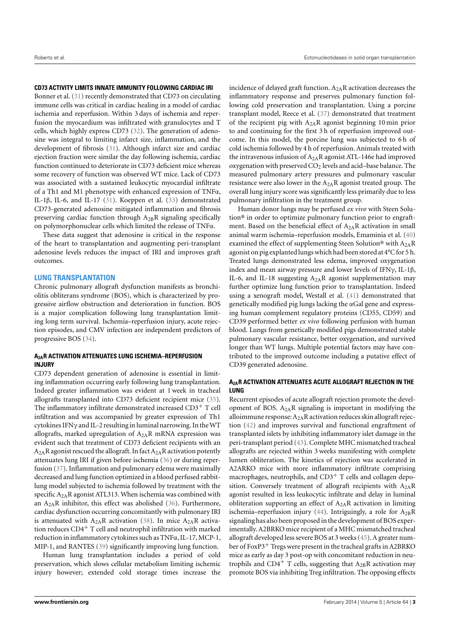## **CD73 ACTIVITY LIMITS INNATE IMMUNITY FOLLOWING CARDIAC IRI**

Bonner et al. [\(31\)](#page-6-28) recently demonstrated that CD73 on circulating immune cells was critical in cardiac healing in a model of cardiac ischemia and reperfusion. Within 3 days of ischemia and reperfusion the myocardium was infiltrated with granulocytes and T cells, which highly express CD73 [\(32\)](#page-6-29). The generation of adenosine was integral to limiting infarct size, inflammation, and the development of fibrosis [\(31\)](#page-6-28). Although infarct size and cardiac ejection fraction were similar the day following ischemia, cardiac function continued to deteriorate in CD73 deficient mice whereas some recovery of function was observed WT mice. Lack of CD73 was associated with a sustained leukocytic myocardial infiltrate of a Th1 and M1 phenotype with enhanced expression of TNFα, IL-1β, IL-6, and IL-17 [\(31\)](#page-6-28). Koeppen et al. [\(33\)](#page-6-30) demonstrated CD73-generated adenosine mitigated inflammation and fibrosis preserving cardiac function through  $A_{2B}R$  signaling specifically on polymorphonuclear cells which limited the release of TNFα.

These data suggest that adenosine is critical in the response of the heart to transplantation and augmenting peri-transplant adenosine levels reduces the impact of IRI and improves graft outcomes.

## **LUNG TRANSPLANTATION**

Chronic pulmonary allograft dysfunction manifests as bronchiolitis obliterans syndrome (BOS), which is characterized by progressive airflow obstruction and deterioration in function. BOS is a major complication following lung transplantation limiting long term survival. Ischemia–reperfusion injury, acute rejection episodes, and CMV infection are independent predictors of progressive BOS [\(34\)](#page-6-31).

# **A2AR ACTIVATION ATTENUATES LUNG ISCHEMIA–REPERFUSION INJURY**

CD73 dependent generation of adenosine is essential in limiting inflammation occurring early following lung transplantation. Indeed greater inflammation was evident at 1 week in tracheal allografts transplanted into CD73 deficient recipient mice [\(35\)](#page-6-32). The inflammatory infiltrate demonstrated increased CD3<sup>+</sup> T cell infiltration and was accompanied by greater expression of Th1 cytokines IFNγ and IL-2 resulting in luminal narrowing. In the WT allografts, marked upregulation of  $A_{2A}R$  mRNA expression was evident such that treatment of CD73 deficient recipients with an  $A_{2A}R$  agonist rescued the allograft. In fact  $A_{2A}R$  activation potently attenuates lung IRI if given before ischemia [\(36\)](#page-6-33) or during reperfusion [\(37\)](#page-6-34). Inflammation and pulmonary edema were maximally decreased and lung function optimized in a blood perfused rabbitlung model subjected to ischemia followed by treatment with the specific  $A_{2A}R$  agonist ATL313. When ischemia was combined with an  $A_{2A}R$  inhibitor, this effect was abolished [\(36\)](#page-6-33). Furthermore, cardiac dysfunction occurring concomitantly with pulmonary IRI is attenuated with  $A_{2A}R$  activation [\(38\)](#page-6-35). In mice  $A_{2A}R$  activation reduces CD4<sup>+</sup> T cell and neutrophil infiltration with marked reduction in inflammatory cytokines such as TNFα, IL-17, MCP-1, MIP-1, and RANTES [\(39\)](#page-6-36) significantly improving lung function.

Human lung transplantation includes a period of cold preservation, which slows cellular metabolism limiting ischemic injury however; extended cold storage times increase the

incidence of delayed graft function.  $A_{2A}R$  activation decreases the inflammatory response and preserves pulmonary function following cold preservation and transplantation. Using a porcine transplant model, Reece et al. [\(37\)](#page-6-34) demonstrated that treatment of the recipient pig with  $A_{2A}R$  agonist beginning 10 min prior to and continuing for the first 3 h of reperfusion improved outcome. In this model, the porcine lung was subjected to 6 h of cold ischemia followed by 4 h of reperfusion. Animals treated with the intravenous infusion of  $A_{2A}R$  agonist ATL-146e had improved oxygenation with preserved  $CO<sub>2</sub>$  levels and acid–base balance. The measured pulmonary artery pressures and pulmonary vascular resistance were also lower in the  $A_{2A}R$  agonist treated group. The overall lung injury score was significantly less primarily due to less pulmonary infiltration in the treatment group.

Human donor lungs may be perfused *ex vivo* with Steen Solution® in order to optimize pulmonary function prior to engraftment. Based on the beneficial effect of  $A_{2A}R$  activation in small animal warm ischemia–reperfusion models, Emaminia et al. [\(40\)](#page-6-37) examined the effect of supplementing Steen Solution® with A2AR agonist on pig explanted lungs which had been stored at 4°C for 5 h. Treated lungs demonstrated less edema, improved oxygenation index and mean airway pressure and lower levels of IFNγ, IL-1β, IL-6, and IL-18 suggesting  $A_{2A}R$  agonist supplementation may further optimize lung function prior to transplantation. Indeed using a xenograft model, Westall et al. [\(41\)](#page-6-38) demonstrated that genetically modified pig lungs lacking the αGal gene and expressing human complement regulatory proteins (CD55, CD59) and CD39 performed better *ex vivo* following perfusion with human blood. Lungs from genetically modified pigs demonstrated stable pulmonary vascular resistance, better oxygenation, and survived longer than WT lungs. Multiple potential factors may have contributed to the improved outcome including a putative effect of CD39 generated adenosine.

# **A2AR ACTIVATION ATTENUATES ACUTE ALLOGRAFT REJECTION IN THE LUNG**

Recurrent episodes of acute allograft rejection promote the development of BOS. A2AR signaling is important in modifying the alloimmune response:  $A_{2A}R$  activation reduces skin allograft rejection [\(42\)](#page-7-0) and improves survival and functional engraftment of transplanted islets by inhibiting inflammatory islet damage in the peri-transplant period [\(43\)](#page-7-1). Complete MHC mismatched tracheal allografts are rejected within 3 weeks manifesting with complete lumen obliteration. The kinetics of rejection was accelerated in A2ARKO mice with more inflammatory infiltrate comprising macrophages, neutrophils, and  $CD3<sup>+</sup>$  T cells and collagen deposition. Conversely treatment of allograft recipients with  $A_{2A}R$ agonist resulted in less leukocytic infiltrate and delay in luminal obliteration supporting an effect of  $A_{2A}R$  activation in limiting ischemia–reperfusion injury [\(44\)](#page-7-2). Intriguingly, a role for  $A_{2B}R$ signaling has also been proposed in the development of BOS experimentally. A2BRKO mice recipient of a MHC mismatched tracheal allograft developed less severe BOS at 3 weeks [\(45\)](#page-7-3). A greater number of Fox $P3$ <sup>+</sup> Tregs were present in the tracheal grafts in A2BRKO mice as early as day 3 post-op with concomitant reduction in neutrophils and CD4<sup>+</sup> T cells, suggesting that  $A_{2B}R$  activation may promote BOS via inhibiting Treg infiltration. The opposing effects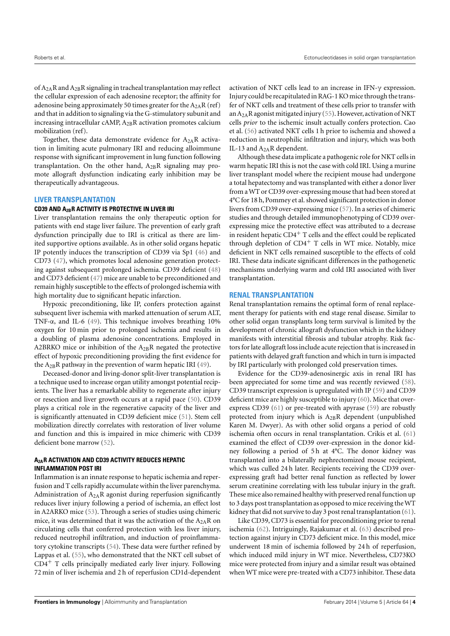of  $A_{2A}R$  and  $A_{2B}R$  signaling in tracheal transplantation may reflect the cellular expression of each adenosine receptor; the affinity for adenosine being approximately 50 times greater for the  $A_{2A}R$  (ref) and that in addition to signaling via the G-stimulatory subunit and increasing intracellular cAMP,  $A_{2B}R$  activation promotes calcium mobilization (ref).

Together, these data demonstrate evidence for  $A_{2A}R$  activation in limiting acute pulmonary IRI and reducing alloimmune response with significant improvement in lung function following transplantation. On the other hand,  $A_{2B}R$  signaling may promote allograft dysfunction indicating early inhibition may be therapeutically advantageous.

# **LIVER TRANSPLANTATION**

#### **CD39 AND A2BR ACTIVITY IS PROTECTIVE IN LIVER IRI**

Liver transplantation remains the only therapeutic option for patients with end stage liver failure. The prevention of early graft dysfunction principally due to IRI is critical as there are limited supportive options available. As in other solid organs hepatic IP potently induces the transcription of CD39 via Sp1 [\(46\)](#page-7-4) and CD73 [\(47\)](#page-7-5), which promotes local adenosine generation protecting against subsequent prolonged ischemia. CD39 deficient [\(48\)](#page-7-6) and CD73 deficient [\(47\)](#page-7-5) mice are unable to be preconditioned and remain highly susceptible to the effects of prolonged ischemia with high mortality due to significant hepatic infarction.

Hypoxic preconditioning, like IP, confers protection against subsequent liver ischemia with marked attenuation of serum ALT, TNF- $\alpha$ , and IL-6 [\(49\)](#page-7-7). This technique involves breathing 10% oxygen for 10 min prior to prolonged ischemia and results in a doubling of plasma adenosine concentrations. Employed in A2BRKO mice or inhibition of the  $A_{2B}R$  negated the protective effect of hypoxic preconditioning providing the first evidence for the  $A_{2B}R$  pathway in the prevention of warm hepatic IRI [\(49\)](#page-7-7).

Deceased-donor and living-donor split-liver transplantation is a technique used to increase organ utility amongst potential recipients. The liver has a remarkable ability to regenerate after injury or resection and liver growth occurs at a rapid pace [\(50\)](#page-7-8). CD39 plays a critical role in the regenerative capacity of the liver and is significantly attenuated in CD39 deficient mice [\(51\)](#page-7-9). Stem cell mobilization directly correlates with restoration of liver volume and function and this is impaired in mice chimeric with CD39 deficient bone marrow [\(52\)](#page-7-10).

## **A2AR ACTIVATION AND CD39 ACTIVITY REDUCES HEPATIC INFLAMMATION POST IRI**

Inflammation is an innate response to hepatic ischemia and reperfusion and T cells rapidly accumulate within the liver parenchyma. Administration of  $A_{2A}R$  agonist during reperfusion significantly reduces liver injury following a period of ischemia, an effect lost in A2ARKO mice [\(53\)](#page-7-11). Through a series of studies using chimeric mice, it was determined that it was the activation of the  $A_{2A}R$  on circulating cells that conferred protection with less liver injury, reduced neutrophil infiltration, and induction of proinflammatory cytokine transcripts [\(54\)](#page-7-12). These data were further refined by Lappas et al. [\(55\)](#page-7-13), who demonstrated that the NKT cell subset of  $CD4<sup>+</sup>$  T cells principally mediated early liver injury. Following 72 min of liver ischemia and 2 h of reperfusion CD1d-dependent activation of NKT cells lead to an increase in IFN-γ expression. Injury could be recapitulated in RAG-1 KO mice through the transfer of NKT cells and treatment of these cells prior to transfer with an  $A_{2A}R$  agonist mitigated injury [\(55\)](#page-7-13). However, activation of NKT cells *prior* to the ischemic insult actually confers protection. Cao et al. [\(56\)](#page-7-14) activated NKT cells 1 h prior to ischemia and showed a reduction in neutrophilic infiltration and injury, which was both IL-13 and A2AR dependent.

Although these data implicate a pathogenic role for NKT cells in warm hepatic IRI this is not the case with cold IRI. Using a murine liver transplant model where the recipient mouse had undergone a total hepatectomy and was transplanted with either a donor liver from a WT or CD39 over-expressing mouse that had been stored at 4°C for 18 h, Pommey et al. showed significant protection in donor livers from CD39 over-expressing mice [\(57\)](#page-7-15). In a series of chimeric studies and through detailed immunophenotyping of CD39 overexpressing mice the protective effect was attributed to a decrease in resident hepatic  $CD4^+$  T cells and the effect could be replicated through depletion of  $CD4^+$  T cells in WT mice. Notably, mice deficient in NKT cells remained susceptible to the effects of cold IRI. These data indicate significant differences in the pathogenetic mechanisms underlying warm and cold IRI associated with liver transplantation.

## **RENAL TRANSPLANTATION**

Renal transplantation remains the optimal form of renal replacement therapy for patients with end stage renal disease. Similar to other solid organ transplants long term survival is limited by the development of chronic allograft dysfunction which in the kidney manifests with interstitial fibrosis and tubular atrophy. Risk factors for late allograft loss include acute rejection that is increased in patients with delayed graft function and which in turn is impacted by IRI particularly with prolonged cold preservation times.

Evidence for the CD39-adenosinergic axis in renal IRI has been appreciated for some time and was recently reviewed [\(58\)](#page-7-16). CD39 transcript expression is upregulated with IP [\(59\)](#page-7-17) and CD39 deficient mice are highly susceptible to injury [\(60\)](#page-7-18). Mice that overexpress CD39 [\(61\)](#page-7-19) or pre-treated with apyrase [\(59\)](#page-7-17) are robustly protected from injury which is  $A_{2B}R$  dependent (unpublished Karen M. Dwyer). As with other solid organs a period of cold ischemia often occurs in renal transplantation. Crikis et al. [\(61\)](#page-7-19) examined the effect of CD39 over-expression in the donor kidney following a period of 5 h at 4°C. The donor kidney was transplanted into a bilaterally nephrectomized mouse recipient, which was culled 24 h later. Recipients receiving the CD39 overexpressing graft had better renal function as reflected by lower serum creatinine correlating with less tubular injury in the graft. These mice also remained healthy with preserved renal function up to 3 days post transplantation as opposed to mice receiving the WT kidney that did not survive to day 3 post renal transplantation [\(61\)](#page-7-19).

Like CD39, CD73 is essential for preconditioning prior to renal ischemia [\(62\)](#page-7-20). Intriguingly, Rajakumar et al. [\(63\)](#page-7-21) described protection against injury in CD73 deficient mice. In this model, mice underwent 18 min of ischemia followed by 24 h of reperfusion, which induced mild injury in WT mice. Nevertheless, CD73KO mice were protected from injury and a similar result was obtained when WT mice were pre-treated with a CD73 inhibitor. These data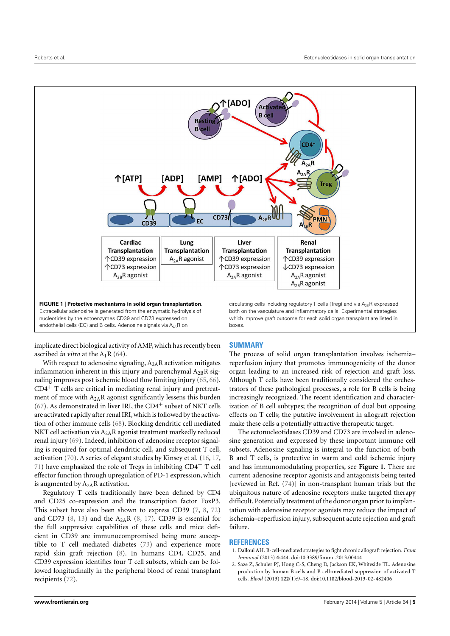

<span id="page-5-2"></span>implicate direct biological activity of AMP, which has recently been ascribed *in vitro* at the  $A_1R(64)$  $A_1R(64)$ .

With respect to adenosine signaling,  $A_{2A}R$  activation mitigates inflammation inherent in this injury and parenchymal  $A_{2B}R$  signaling improves post ischemic blood flow limiting injury [\(65,](#page-7-23) [66\)](#page-7-24).  $CD4<sup>+</sup>$  T cells are critical in mediating renal injury and pretreatment of mice with  $A_{2A}R$  agonist significantly lessens this burden [\(67\)](#page-7-25). As demonstrated in liver IRI, the  $CD4^+$  subset of NKT cells are activated rapidly after renal IRI, which is followed by the activation of other immune cells [\(68\)](#page-7-26). Blocking dendritic cell mediated NKT cell activation via  $A_{2A}R$  agonist treatment markedly reduced renal injury [\(69\)](#page-7-27). Indeed, inhibition of adenosine receptor signaling is required for optimal dendritic cell, and subsequent T cell, activation [\(70\)](#page-7-28). A series of elegant studies by Kinsey et al. [\(16,](#page-6-13) [17,](#page-6-14) [71\)](#page-7-29) have emphasized the role of Tregs in inhibiting  $CD4<sup>+</sup>$  T cell effector function through upregulation of PD-1 expression, which is augmented by A2AR activation.

Regulatory T cells traditionally have been defined by CD4 and CD25 co-expression and the transcription factor FoxP3. This subset have also been shown to express CD39 [\(7,](#page-6-4) [8,](#page-6-5) [72\)](#page-7-30) and CD73 [\(8,](#page-6-5) [13\)](#page-6-10) and the  $A_{2A}R$  (8, [17\)](#page-6-14). CD39 is essential for the full suppressive capabilities of these cells and mice deficient in CD39 are immunocompromised being more susceptible to T cell mediated diabetes [\(73\)](#page-7-31) and experience more rapid skin graft rejection [\(8\)](#page-6-5). In humans CD4, CD25, and CD39 expression identifies four T cell subsets, which can be followed longitudinally in the peripheral blood of renal transplant recipients [\(72\)](#page-7-30).

## **SUMMARY**

The process of solid organ transplantation involves ischemia– reperfusion injury that promotes immunogenicity of the donor organ leading to an increased risk of rejection and graft loss. Although T cells have been traditionally considered the orchestrators of these pathological processes, a role for B cells is being increasingly recognized. The recent identification and characterization of B cell subtypes; the recognition of dual but opposing effects on T cells; the putative involvement in allograft rejection make these cells a potentially attractive therapeutic target.

The ectonucleotidases CD39 and CD73 are involved in adenosine generation and expressed by these important immune cell subsets. Adenosine signaling is integral to the function of both B and T cells, is protective in warm and cold ischemic injury and has immunomodulating properties, see **[Figure 1](#page-5-2)**. There are current adenosine receptor agonists and antagonists being tested [reviewed in Ref. [\(74\)](#page-7-32)] in non-transplant human trials but the ubiquitous nature of adenosine receptors make targeted therapy difficult. Potentially treatment of the donor organ prior to implantation with adenosine receptor agonists may reduce the impact of ischemia–reperfusion injury, subsequent acute rejection and graft failure.

#### **REFERENCES**

- <span id="page-5-0"></span>1. Dalloul AH. B-cell-mediated strategies to fight chronic allograft rejection. *Front Immunol* (2013) **4**:444. doi[:10.3389/fimmu.2013.00444](http://dx.doi.org/10.3389/fimmu.2013.00444)
- <span id="page-5-1"></span>2. Saze Z, Schuler PJ, Hong C-S, Cheng D, Jackson EK, Whiteside TL. Adenosine production by human B cells and B cell-mediated suppression of activated T cells. *Blood* (2013) **122**(1):9–18. doi[:10.1182/blood-2013-02-482406](http://dx.doi.org/10.1182/blood-2013-02-482406)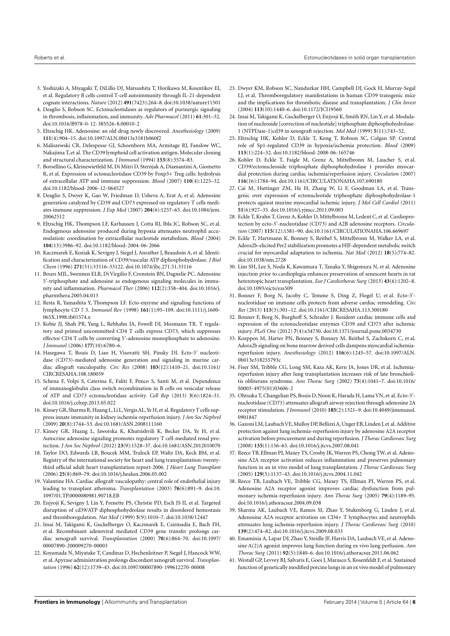- <span id="page-6-0"></span>3. Yoshizaki A, Miyagaki T, DiLillo DJ, Matsushita T, Horikawa M, Kountikov EI, et al. Regulatory B cells control T-cell autoimmunity through IL-21-dependent cognate interactions. *Nature* (2012) **491**(7423):264–8. doi[:10.1038/nature11501](http://dx.doi.org/10.1038/nature11501)
- <span id="page-6-1"></span>4. Deaglio S, Robson SC. Ectonucleotidases as regulators of purinergic signaling in thrombosis, inflammation, and immunity. *Adv Pharmacol* (2011) **61**:301–32. doi[:10.1016/B978-0-12-385526-8.00010-2](http://dx.doi.org/10.1016/B978-0-12-385526-8.00010-2)
- <span id="page-6-2"></span>5. Eltzschig HK. Adenosine: an old drug newly discovered. *Anesthesiology* (2009) **111**(4):904–15. doi[:10.1097/ALN.0b013e3181b060f2](http://dx.doi.org/10.1097/ALN.0b013e3181b060f2)
- <span id="page-6-3"></span>6. Maliszewski CR, Delespesse GJ, Schoenborn MA, Armitage RJ, Fanslow WC, Nakajima T, et al. The CD39 lymphoid cell activation antigen. Molecular cloning and structural characterization. *J Immunol* (1994) **153**(8):3574–83.
- <span id="page-6-4"></span>7. Borsellino G, Kleinewietfeld M, Di Mitri D, Sternjak A, Diamantini A, Giometto R, et al. Expression of ectonucleotidase CD39 by Foxp3+ Treg cells: hydrolysis of extracellular ATP and immune suppression. *Blood* (2007) **110**(4):1225–32. doi[:10.1182/blood-2006-12-064527](http://dx.doi.org/10.1182/blood-2006-12-064527)
- <span id="page-6-5"></span>8. Deaglio S, Dwyer K, Gao W, Friedman D, Usheva A, Erat A, et al. Adenosine generation catalyzed by CD39 and CD73 expressed on regulatory T cells mediates immune suppression. *J Exp Med* (2007) **204**(6):1257–65. doi[:10.1084/jem.](http://dx.doi.org/10.1084/jem.20062512) [20062512](http://dx.doi.org/10.1084/jem.20062512)
- <span id="page-6-6"></span>9. Eltzschig HK, Thompson LF, Karhausen J, Cotta RJ, Ibla JC, Robson SC, et al. Endogenous adenosine produced during hypoxia attenuates neutrophil accumulation: coordination by extracellular nucleotide metabolism. *Blood* (2004) **104**(13):3986–92. doi[:10.1182/blood-2004-06-2066](http://dx.doi.org/10.1182/blood-2004-06-2066)
- <span id="page-6-7"></span>10. Kaczmarek E, Koziak K, Sevigny J, Siegel J, Anrather J, Beaudoin A, et al. Identification and characterization of CD39/vascular ATP diphosphohydrolase. *J Biol Chem* (1996) **271**(51):33116–33122. doi[:10.1074/jbc.271.51.33116](http://dx.doi.org/10.1074/jbc.271.51.33116)
- <span id="page-6-8"></span>11. Bours MJL, Swennen ELR, Di Virgilio F, Cronstein BN, Dagnelie PC. Adenosine 5'-triphosphate and adenosine as endogenous signaling molecules in immunity and inflammation. *Pharmacol Ther* (2006) **112**(2):358–404. doi[:10.1016/j.](http://dx.doi.org/10.1016/j.pharmthera.2005.04.013) [pharmthera.2005.04.013](http://dx.doi.org/10.1016/j.pharmthera.2005.04.013)
- <span id="page-6-9"></span>12. Resta R, Yamashita Y, Thompson LF. Ecto-enzyme and signaling functions of lymphocyte CD 7 3. *Immunol Rev* (1998) **161**(1):95–109. doi[:10.1111/j.1600-](http://dx.doi.org/10.1111/j.1600-065X.1998.tb01574.x) [065X.1998.tb01574.x](http://dx.doi.org/10.1111/j.1600-065X.1998.tb01574.x)
- <span id="page-6-10"></span>13. Kobie JJ, Shah PR, Yang L, Rebhahn JA, Fowell DJ, Mosmann TR. T regulatory and primed uncommitted CD4 T cells express CD73, which suppresses effector CD4 T cells by converting 5'-adenosine monophosphate to adenosine. *J Immunol* (2006) **177**(10):6780–6.
- <span id="page-6-11"></span>14. Hasegawa T, Bouis D, Liao H, Visovatti SH, Pinsky DJ. Ecto-5' nucleotidase (CD73)-mediated adenosine generation and signaling in murine cardiac allograft vasculopathy. *Circ Res* (2008) **103**(12):1410–21. doi[:10.1161/](http://dx.doi.org/10.1161/CIRCRESAHA.108.180059) [CIRCRESAHA.108.180059](http://dx.doi.org/10.1161/CIRCRESAHA.108.180059)
- <span id="page-6-12"></span>15. Schena F, Volpi S, Caterina E, Faliti F, Penco S, Santi M, et al. Dependence of immunoglobulin class switch recombination in B cells on vesicular release of ATP and CD73 ectonucleotidase activity. *Cell Rep* (2013) **3**(6):1824–31. doi[:10.1016/j.celrep.2013.05.022](http://dx.doi.org/10.1016/j.celrep.2013.05.022)
- <span id="page-6-13"></span>16. Kinsey GR, Sharma R, Huang L, Li L,Vergis AL,Ye H, et al. Regulatory T cells suppress innate immunity in kidney ischemia-reperfusion injury. *J Am Soc Nephrol* (2009) **20**(8):1744–53. doi[:10.1681/ASN.2008111160](http://dx.doi.org/10.1681/ASN.2008111160)
- <span id="page-6-14"></span>17. Kinsey GR, Huang L, Jaworska K, Khutsishvili K, Becker DA, Ye H, et al. Autocrine adenosine signaling promotes regulatory T cell-mediated renal protection. *J Am Soc Nephrol* (2012) **23**(9):1528–37. doi[:10.1681/ASN.2012010070](http://dx.doi.org/10.1681/ASN.2012010070)
- <span id="page-6-15"></span>18. Taylor DO, Edwards LB, Boucek MM, Trulock EP, Waltz DA, Keck BM, et al. Registry of the international society for heart and lung transplantation: twentythird official adult heart transplantation report-2006. *J Heart Lung Transplant* (2006) **25**(8):869–79. doi[:10.1016/j.healun.2006.05.002](http://dx.doi.org/10.1016/j.healun.2006.05.002)
- <span id="page-6-16"></span>19. Valantine HA. Cardiac allograft vasculopathy: central role of endothelial injury leading to transplant atheroma. *Transplantation* (2003) **76**(6):891–9. doi[:10.](http://dx.doi.org/10.1097/01.TP.0000080981.90718.EB) [1097/01.TP.0000080981.90718.EB](http://dx.doi.org/10.1097/01.TP.0000080981.90718.EB)
- <span id="page-6-17"></span>20. Enjyoji K, Sevigny J, Lin Y, Frenette PS, Christie PD, Esch JS II, et al. Targeted disruption of cd39/ATP diphosphohydrolase results in disordered hemostasis and thromboregulation. *Nat Med* (1999) **5**(9):1010–7. doi[:10.1038/12447](http://dx.doi.org/10.1038/12447)
- <span id="page-6-18"></span>21. Imai M, Takigami K, Guckelberger O, Kaczmarek E, Csizmadia E, Bach FH, et al. Recombinant adenoviral mediated CD39 gene transfer prolongs cardiac xenograft survival. *Transplantation* (2000) **70**(6):864–70. doi[:10.1097/](http://dx.doi.org/10.1097/00007890-200009270-00003) [00007890-200009270-00003](http://dx.doi.org/10.1097/00007890-200009270-00003)
- <span id="page-6-19"></span>22. Koyamada N, Miyatake T, Candinas D, Hechenleitner P, Siegel J, Hancock WW, et al. Apyrase administration prolongs discordant xenograft survival. *Transplantation* (1996) **62**(12):1739–43. doi[:10.1097/00007890-199612270-00008](http://dx.doi.org/10.1097/00007890-199612270-00008)
- <span id="page-6-20"></span>23. Dwyer KM, Robson SC, Nandurkar HH, Campbell DJ, Gock H, Murray-Segal LJ, et al. Thromboregulatory manifestations in human CD39 transgenic mice and the implications for thrombotic disease and transplantation. *J Clin Invest* (2004) **113**(10):1440–6. doi[:10.1172/JCI19560](http://dx.doi.org/10.1172/JCI19560)
- <span id="page-6-21"></span>24. Imai M, Takigami K, Guckelberger O, Enjyoji K, Smith RN, Lin Y, et al. Modulation of nucleoside [correction of nucleotide] triphosphate diphosphohydrolase-1 (NTPDase-1)cd39 in xenograft rejection. *Mol Med* (1999) **5**(11):743–52.
- <span id="page-6-22"></span>25. Eltzschig HK, Kohler D, Eckle T, Kong T, Robson SC, Colgan SP. Central role of Sp1-regulated CD39 in hypoxia/ischemia protection. *Blood* (2009) **113**(1):224–32. doi[:10.1182/blood-2008-06-165746](http://dx.doi.org/10.1182/blood-2008-06-165746)
- <span id="page-6-23"></span>26. Kohler D, Eckle T, Faigle M, Grenz A, Mittelbronn M, Laucher S, et al. CD39/ectonucleoside triphosphate diphosphohydrolase 1 provides myocardial protection during cardiac ischemia/reperfusion injury. *Circulation* (2007) **116**(16):1784–94. doi[:10.1161/CIRCULATIONAHA.107.690180](http://dx.doi.org/10.1161/CIRCULATIONAHA.107.690180)
- <span id="page-6-24"></span>27. Cai M, Huttinger ZM, He H, Zhang W, Li F, Goodman LA, et al. Transgenic over expression of ectonucleotide triphosphate diphosphohydrolase-1 protects against murine myocardial ischemic injury. *J Mol Cell Cardiol* (2011) **51**(6):927–35. doi[:10.1016/j.yjmcc.2011.09.003](http://dx.doi.org/10.1016/j.yjmcc.2011.09.003)
- <span id="page-6-25"></span>28. Eckle T, Krahn T, Grenz A, Kohler D, Mittelbronn M, Ledent C, et al. Cardioprotection by ecto-5'-nucleotidase (CD73) and A2B adenosine receptors. *Circulation* (2007) **115**(12):1581–90. doi[:10.1161/CIRCULATIONAHA.106.669697](http://dx.doi.org/10.1161/CIRCULATIONAHA.106.669697)
- <span id="page-6-26"></span>29. Eckle T, Hartmann K, Bonney S, Reithel S, Mittelbronn M, Walker LA, et al. Adora2b-elicited Per2 stabilization promotes a HIF-dependent metabolic switch crucial for myocardial adaptation to ischemia. *Nat Med* (2012) **18**(5):774–82. doi[:10.1038/nm.2728](http://dx.doi.org/10.1038/nm.2728)
- <span id="page-6-27"></span>30. Lim SH, Lee S, Noda K, Kawamura T, Tanaka Y, Shigemura N, et al. Adenosine injection prior to cardioplegia enhances preservation of senescent hearts in rat heterotopic heart transplantation. *Eur J Cardiothorac Surg* (2013) **43**(6):1202–8. doi[:10.1093/ejcts/ezs509](http://dx.doi.org/10.1093/ejcts/ezs509)
- <span id="page-6-28"></span>31. Bonner F, Borg N, Jacoby C, Temme S, Ding Z, Flogel U, et al. Ecto-5' nucleotidase on immune cells protects from adverse cardiac remodeling. *Circ Res* (2013) **113**(3):301–12. doi[:10.1161/CIRCRESAHA.113.300180](http://dx.doi.org/10.1161/CIRCRESAHA.113.300180)
- <span id="page-6-29"></span>32. Bonner F, Borg N, Burghoff S, Schrader J. Resident cardiac immune cells and expression of the ectonucleotidase enzymes CD39 and CD73 after ischemic injury. *PLoS One* (2012) **7**(4):e34730. doi[:10.1371/journal.pone.0034730](http://dx.doi.org/10.1371/journal.pone.0034730)
- <span id="page-6-30"></span>33. Koeppen M, Harter PN, Bonney S, Bonney M, Reithel S, Zachskorn C, et al. Adora2b signaling on bone marrow derived cells dampens myocardial ischemiareperfusion injury. *Anesthesiology* (2012) **116**(6):1245–57. doi[:10.1097/ALN.](http://dx.doi.org/10.1097/ALN.0b013e318255793c) [0b013e318255793c](http://dx.doi.org/10.1097/ALN.0b013e318255793c)
- <span id="page-6-31"></span>34. Fiser SM, Tribble CG, Long SM, Kaza AK, Kern JA, Jones DR, et al. Ischemiareperfusion injury after lung transplantation increases risk of late bronchiolitis obliterans syndrome. *Ann Thorac Surg* (2002) **73**(4):1041–7. doi[:10.1016/](http://dx.doi.org/10.1016/S0003-4975(01)03606-2) [S0003-4975\(01\)03606-2](http://dx.doi.org/10.1016/S0003-4975(01)03606-2)
- <span id="page-6-32"></span>35. Ohtsuka T, Changelian PS, Bouis D, Noon K, Harada H, Lama VN, et al. Ecto-5' nucleotidase (CD73) attenuates allograft airway rejection through adenosine 2A receptor stimulation. *J Immunol* (2010) **185**(2):1321–9. doi[:10.4049/jimmunol.](http://dx.doi.org/10.4049/jimmunol.0901847) [0901847](http://dx.doi.org/10.4049/jimmunol.0901847)
- <span id="page-6-33"></span>36. Gazoni LM, Laubach VE, Mulloy DP, Bellizzi A, Unger EB, Linden J, et al. Additive protection against lung ischemia-reperfusion injury by adenosine A2A receptor activation before procurement and during reperfusion. *J Thorac Cardiovasc Surg* (2008) **135**(1):156–65. doi[:10.1016/j.jtcvs.2007.08.041](http://dx.doi.org/10.1016/j.jtcvs.2007.08.041)
- <span id="page-6-34"></span>37. Reece TB, Ellman PI, Maxey TS, Crosby IK, Warren PS, Chong TW, et al. Adenosine A2A receptor activation reduces inflammation and preserves pulmonary function in an in vivo model of lung transplantation. *J Thorac Cardiovasc Surg* (2005) **129**(5):1137–43. doi[:10.1016/j.jtcvs.2004.11.042](http://dx.doi.org/10.1016/j.jtcvs.2004.11.042)
- <span id="page-6-35"></span>38. Reece TB, Laubach VE, Tribble CG, Maxey TS, Ellman PI, Warren PS, et al. Adenosine A2A receptor agonist improves cardiac dysfunction from pulmonary ischemia-reperfusion injury. *Ann Thorac Surg* (2005) **79**(4):1189–95. doi[:10.1016/j.athoracsur.2004.09.038](http://dx.doi.org/10.1016/j.athoracsur.2004.09.038)
- <span id="page-6-36"></span>39. Sharma AK, Laubach VE, Ramos SI, Zhao Y, Stukenborg G, Linden J, et al. Adenosine A2A receptor activation on CD4+ T lymphocytes and neutrophils attenuates lung ischemia-reperfusion injury. *J Thorac Cardiovasc Surg* (2010) **139**(2):474–82. doi[:10.1016/j.jtcvs.2009.08.033](http://dx.doi.org/10.1016/j.jtcvs.2009.08.033)
- <span id="page-6-37"></span>40. Emaminia A, Lapar DJ, Zhao Y, Steidle JF, Harris DA, Laubach VE, et al. Adenosine A(2)A agonist improves lung function during ex vivo lung perfusion. *Ann Thorac Surg* (2011) **92**(5):1840–6. doi[:10.1016/j.athoracsur.2011.06.062](http://dx.doi.org/10.1016/j.athoracsur.2011.06.062)
- <span id="page-6-38"></span>41. Westall GP, Levvey BJ, Salvaris E, Gooi J, Marasco S, Rosenfeldt F, et al. Sustained function of genetically modified porcine lungs in an ex vivo model of pulmonary